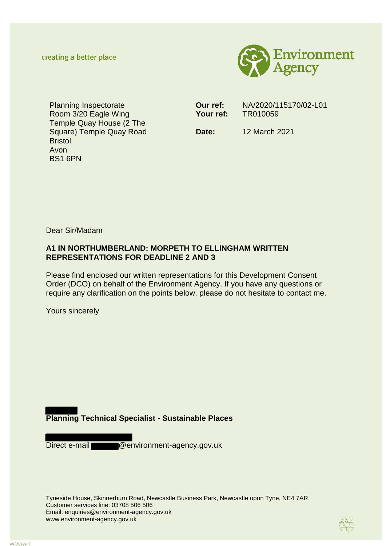creating a better place



Planning Inspectorate Room 3/20 Eagle Wing Temple Quay House (2 The Square) Temple Quay Road Bristol Avon BS1 6PN

**Our ref:** NA/2020/115170/02-L01 **Your ref:** TR010059

**Date:** 12 March 2021

Dear Sir/Madam

# **A1 IN NORTHUMBERLAND: MORPETH TO ELLINGHAM WRITTEN REPRESENTATIONS FOR DEADLINE 2 AND 3**

Please find enclosed our written representations for this Development Consent Order (DCO) on behalf of the Environment Agency. If you have any questions or require any clarification on the points below, please do not hesitate to contact me.

Yours sincerely

# **Planning Technical Specialist - Sustainable Places**

Direct e-mail @environment-agency.gov.uk

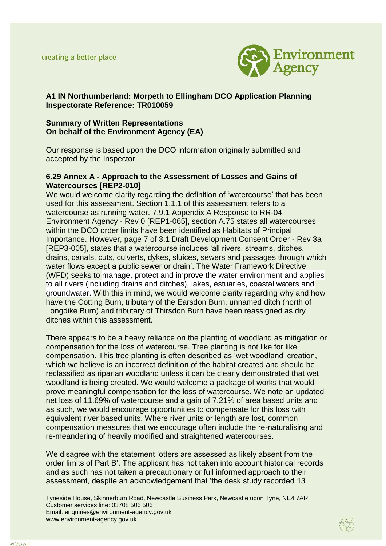

# **A1 IN Northumberland: Morpeth to Ellingham DCO Application Planning Inspectorate Reference: TR010059**

### **Summary of Written Representations On behalf of the Environment Agency (EA)**

Our response is based upon the DCO information originally submitted and accepted by the Inspector.

### **6.29 Annex A - Approach to the Assessment of Losses and Gains of Watercourses [REP2-010]**

We would welcome clarity regarding the definition of 'watercourse' that has been used for this assessment. Section 1.1.1 of this assessment refers to a watercourse as running water. 7.9.1 Appendix A Response to RR-04 Environment Agency - Rev 0 [REP1-065], section A.75 states all watercourses within the DCO order limits have been identified as Habitats of Principal Importance. However, page 7 of 3.1 Draft Development Consent Order - Rev 3a [REP3-005], states that a watercourse includes 'all rivers, streams, ditches, drains, canals, cuts, culverts, dykes, sluices, sewers and passages through which water flows except a public sewer or drain'. The Water Framework Directive (WFD) seeks to manage, protect and improve the water environment and applies to all rivers (including drains and ditches), lakes, estuaries, coastal waters and groundwater. With this in mind, we would welcome clarity regarding why and how have the Cotting Burn, tributary of the Earsdon Burn, unnamed ditch (north of Longdike Burn) and tributary of Thirsdon Burn have been reassigned as dry ditches within this assessment.

There appears to be a heavy reliance on the planting of woodland as mitigation or compensation for the loss of watercourse. Tree planting is not like for like compensation. This tree planting is often described as 'wet woodland' creation, which we believe is an incorrect definition of the habitat created and should be reclassified as riparian woodland unless it can be clearly demonstrated that wet woodland is being created. We would welcome a package of works that would prove meaningful compensation for the loss of watercourse. We note an updated net loss of 11.69% of watercourse and a gain of 7.21% of area based units and as such, we would encourage opportunities to compensate for this loss with equivalent river based units. Where river units or length are lost, common compensation measures that we encourage often include the re-naturalising and re-meandering of heavily modified and straightened watercourses.

We disagree with the statement 'otters are assessed as likely absent from the order limits of Part B'. The applicant has not taken into account historical records and as such has not taken a precautionary or full informed approach to their assessment, despite an acknowledgement that 'the desk study recorded 13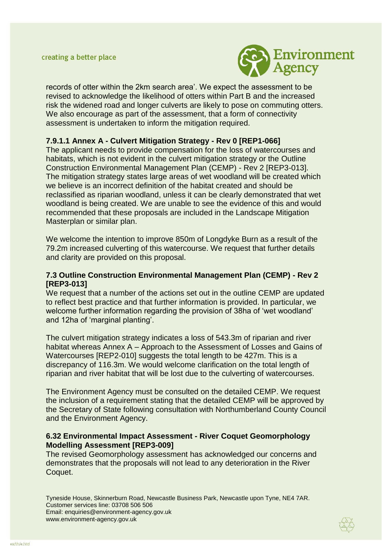

records of otter within the 2km search area'. We expect the assessment to be revised to acknowledge the likelihood of otters within Part B and the increased risk the widened road and longer culverts are likely to pose on commuting otters. We also encourage as part of the assessment, that a form of connectivity assessment is undertaken to inform the mitigation required.

# **7.9.1.1 Annex A - Culvert Mitigation Strategy - Rev 0 [REP1-066]**

The applicant needs to provide compensation for the loss of watercourses and habitats, which is not evident in the culvert mitigation strategy or the Outline Construction Environmental Management Plan (CEMP) - Rev 2 [REP3-013]. The mitigation strategy states large areas of wet woodland will be created which we believe is an incorrect definition of the habitat created and should be reclassified as riparian woodland, unless it can be clearly demonstrated that wet woodland is being created. We are unable to see the evidence of this and would recommended that these proposals are included in the Landscape Mitigation Masterplan or similar plan.

We welcome the intention to improve 850m of Longdyke Burn as a result of the 79.2m increased culverting of this watercourse. We request that further details and clarity are provided on this proposal.

## **7.3 Outline Construction Environmental Management Plan (CEMP) - Rev 2 [REP3-013]**

We request that a number of the actions set out in the outline CEMP are updated to reflect best practice and that further information is provided. In particular, we welcome further information regarding the provision of 38ha of 'wet woodland' and 12ha of 'marginal planting'.

The culvert mitigation strategy indicates a loss of 543.3m of riparian and river habitat whereas Annex A – Approach to the Assessment of Losses and Gains of Watercourses [REP2-010] suggests the total length to be 427m. This is a discrepancy of 116.3m. We would welcome clarification on the total length of riparian and river habitat that will be lost due to the culverting of watercourses.

The Environment Agency must be consulted on the detailed CEMP. We request the inclusion of a requirement stating that the detailed CEMP will be approved by the Secretary of State following consultation with Northumberland County Council and the Environment Agency.

### **[6.32 Environmental Impact Assessment -](https://infrastructure.planninginspectorate.gov.uk/wp-content/ipc/uploads/projects/TR010059/TR010059-001295-David%20Morrow%20on%20behalf%20of%20the%20Applicant%20-%20Other-%20Environmental%20Impact%20Assessment%20(EIA)%20Information%204.pdf) River Coquet Geomorphology [Modelling Assessment](https://infrastructure.planninginspectorate.gov.uk/wp-content/ipc/uploads/projects/TR010059/TR010059-001295-David%20Morrow%20on%20behalf%20of%20the%20Applicant%20-%20Other-%20Environmental%20Impact%20Assessment%20(EIA)%20Information%204.pdf) [REP3-009]**

The revised Geomorphology assessment has acknowledged our concerns and demonstrates that the proposals will not lead to any deterioration in the River Coquet.

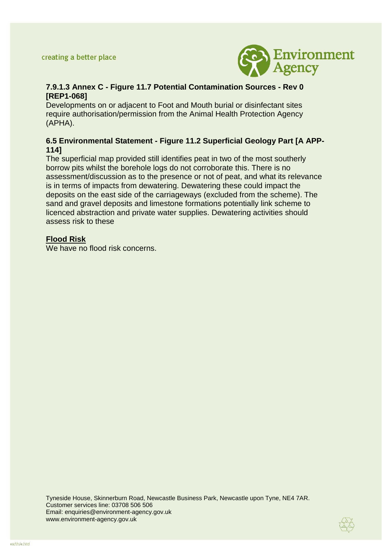

# **7.9.1.3 Annex C - Figure 11.7 Potential Contamination Sources - Rev 0 [REP1-068]**

Developments on or adjacent to Foot and Mouth burial or disinfectant sites require authorisation/permission from the Animal Health Protection Agency (APHA).

# **6.5 Environmental Statement - Figure 11.2 Superficial Geology Part [A APP-114]**

The superficial map provided still identifies peat in two of the most southerly borrow pits whilst the borehole logs do not corroborate this. There is no assessment/discussion as to the presence or not of peat, and what its relevance is in terms of impacts from dewatering. Dewatering these could impact the deposits on the east side of the carriageways (excluded from the scheme). The sand and gravel deposits and limestone formations potentially link scheme to licenced abstraction and private water supplies. Dewatering activities should assess risk to these

## **Flood Risk**

We have no flood risk concerns.

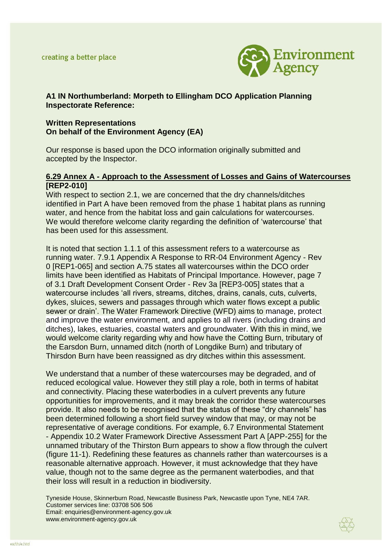

# **A1 IN Northumberland: Morpeth to Ellingham DCO Application Planning Inspectorate Reference:**

### **Written Representations On behalf of the Environment Agency (EA)**

Our response is based upon the DCO information originally submitted and accepted by the Inspector.

#### **6.29 Annex A - Approach to the Assessment of Losses and Gains of Watercourses [REP2-010]**

With respect to section 2.1, we are concerned that the dry channels/ditches identified in Part A have been removed from the phase 1 habitat plans as running water, and hence from the habitat loss and gain calculations for watercourses. We would therefore welcome clarity regarding the definition of 'watercourse' that has been used for this assessment.

It is noted that section 1.1.1 of this assessment refers to a watercourse as running water. 7.9.1 Appendix A Response to RR-04 Environment Agency - Rev 0 [REP1-065] and section A.75 states all watercourses within the DCO order limits have been identified as Habitats of Principal Importance. However, page 7 of 3.1 Draft Development Consent Order - Rev 3a [REP3-005] states that a watercourse includes 'all rivers, streams, ditches, drains, canals, cuts, culverts, dykes, sluices, sewers and passages through which water flows except a public sewer or drain'. The Water Framework Directive (WFD) aims to manage, protect and improve the water environment, and applies to all rivers (including drains and ditches), lakes, estuaries, coastal waters and groundwater. With this in mind, we would welcome clarity regarding why and how have the Cotting Burn, tributary of the Earsdon Burn, unnamed ditch (north of Longdike Burn) and tributary of Thirsdon Burn have been reassigned as dry ditches within this assessment.

We understand that a number of these watercourses may be degraded, and of reduced ecological value. However they still play a role, both in terms of habitat and connectivity. Placing these waterbodies in a culvert prevents any future opportunities for improvements, and it may break the corridor these watercourses provide. It also needs to be recognised that the status of these "dry channels" has been determined following a short field survey window that may, or may not be representative of average conditions. For example, 6.7 Environmental Statement - Appendix 10.2 Water Framework Directive Assessment Part A [APP-255] for the unnamed tributary of the Thirston Burn appears to show a flow through the culvert (figure 11-1). Redefining these features as channels rather than watercourses is a reasonable alternative approach. However, it must acknowledge that they have value, though not to the same degree as the permanent waterbodies, and that their loss will result in a reduction in biodiversity.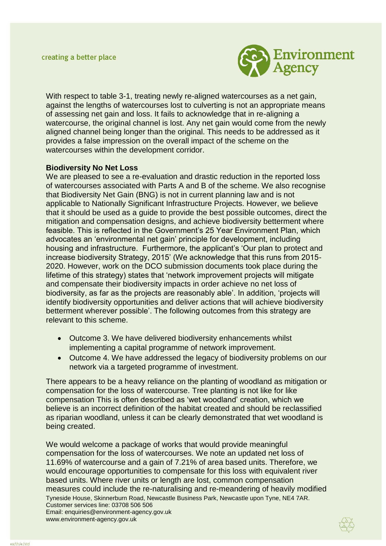

With respect to table 3-1, treating newly re-aligned watercourses as a net gain, against the lengths of watercourses lost to culverting is not an appropriate means of assessing net gain and loss. It fails to acknowledge that in re-aligning a watercourse, the original channel is lost. Any net gain would come from the newly aligned channel being longer than the original. This needs to be addressed as it provides a false impression on the overall impact of the scheme on the watercourses within the development corridor.

### **Biodiversity No Net Loss**

We are pleased to see a re-evaluation and drastic reduction in the reported loss of watercourses associated with Parts A and B of the scheme. We also recognise that Biodiversity Net Gain (BNG) is not in current planning law and is not applicable to Nationally Significant Infrastructure Projects. However, we believe that it should be used as a guide to provide the best possible outcomes, direct the mitigation and compensation designs, and achieve biodiversity betterment where feasible. This is reflected in the Government's 25 Year Environment Plan, which advocates an 'environmental net gain' principle for development, including housing and infrastructure. Furthermore, the applicant's 'Our plan to protect and increase biodiversity Strategy, 2015' (We acknowledge that this runs from 2015- 2020. However, work on the DCO submission documents took place during the lifetime of this strategy) states that 'network improvement projects will mitigate and compensate their biodiversity impacts in order achieve no net loss of biodiversity, as far as the projects are reasonably able'. In addition, 'projects will identify biodiversity opportunities and deliver actions that will achieve biodiversity betterment wherever possible'. The following outcomes from this strategy are relevant to this scheme.

- Outcome 3. We have delivered biodiversity enhancements whilst implementing a capital programme of network improvement.
- Outcome 4. We have addressed the legacy of biodiversity problems on our network via a targeted programme of investment.

There appears to be a heavy reliance on the planting of woodland as mitigation or compensation for the loss of watercourse. Tree planting is not like for like compensation This is often described as 'wet woodland' creation, which we believe is an incorrect definition of the habitat created and should be reclassified as riparian woodland, unless it can be clearly demonstrated that wet woodland is being created.

Tyneside House, Skinnerburn Road, Newcastle Business Park, Newcastle upon Tyne, NE4 7AR. Customer services line: 03708 506 506 Email: enquiries@environment-agency.gov.uk www.environment-agency.gov.uk We would welcome a package of works that would provide meaningful compensation for the loss of watercourses. We note an updated net loss of 11.69% of watercourse and a gain of 7.21% of area based units. Therefore, we would encourage opportunities to compensate for this loss with equivalent river based units. Where river units or length are lost, common compensation measures could include the re-naturalising and re-meandering of heavily modified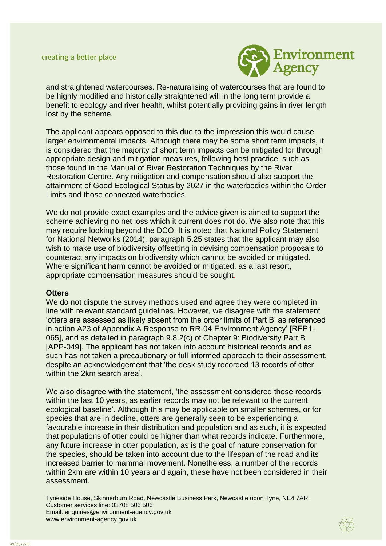

and straightened watercourses. Re-naturalising of watercourses that are found to be highly modified and historically straightened will in the long term provide a benefit to ecology and river health, whilst potentially providing gains in river length lost by the scheme.

The applicant appears opposed to this due to the impression this would cause larger environmental impacts. Although there may be some short term impacts, it is considered that the majority of short term impacts can be mitigated for through appropriate design and mitigation measures, following best practice, such as those found in the Manual of River Restoration Techniques by the River Restoration Centre. Any mitigation and compensation should also support the attainment of Good Ecological Status by 2027 in the waterbodies within the Order Limits and those connected waterbodies.

We do not provide exact examples and the advice given is aimed to support the scheme achieving no net loss which it current does not do. We also note that this may require looking beyond the DCO. It is noted that National Policy Statement for National Networks (2014), paragraph 5.25 states that the applicant may also wish to make use of biodiversity offsetting in devising compensation proposals to counteract any impacts on biodiversity which cannot be avoided or mitigated. Where significant harm cannot be avoided or mitigated, as a last resort, appropriate compensation measures should be sought.

#### **Otters**

We do not dispute the survey methods used and agree they were completed in line with relevant standard guidelines. However, we disagree with the statement 'otters are assessed as likely absent from the order limits of Part B' as referenced in action A23 of Appendix A Response to RR-04 Environment Agency' [REP1- 065], and as detailed in paragraph 9.8.2(c) of Chapter 9: Biodiversity Part B [APP-049]. The applicant has not taken into account historical records and as such has not taken a precautionary or full informed approach to their assessment, despite an acknowledgement that 'the desk study recorded 13 records of otter within the 2km search area'

We also disagree with the statement, 'the assessment considered those records within the last 10 years, as earlier records may not be relevant to the current ecological baseline'. Although this may be applicable on smaller schemes, or for species that are in decline, otters are generally seen to be experiencing a favourable increase in their distribution and population and as such, it is expected that populations of otter could be higher than what records indicate. Furthermore, any future increase in otter population, as is the goal of nature conservation for the species, should be taken into account due to the lifespan of the road and its increased barrier to mammal movement. Nonetheless, a number of the records within 2km are within 10 years and again, these have not been considered in their assessment.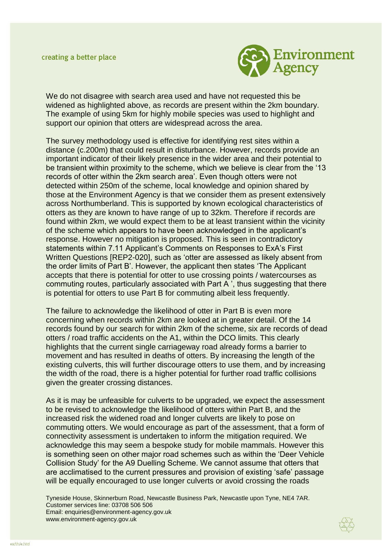

We do not disagree with search area used and have not requested this be widened as highlighted above, as records are present within the 2km boundary. The example of using 5km for highly mobile species was used to highlight and support our opinion that otters are widespread across the area.

The survey methodology used is effective for identifying rest sites within a distance (c.200m) that could result in disturbance. However, records provide an important indicator of their likely presence in the wider area and their potential to be transient within proximity to the scheme, which we believe is clear from the '13 records of otter within the 2km search area'. Even though otters were not detected within 250m of the scheme, local knowledge and opinion shared by those at the Environment Agency is that we consider them as present extensively across Northumberland. This is supported by known ecological characteristics of otters as they are known to have range of up to 32km. Therefore if records are found within 2km, we would expect them to be at least transient within the vicinity of the scheme which appears to have been acknowledged in the applicant's response. However no mitigation is proposed. This is seen in contradictory statements within 7.11 Applicant's Comments on Responses to ExA's First Written Questions [REP2-020], such as 'otter are assessed as likely absent from the order limits of Part B'. However, the applicant then states 'The Applicant accepts that there is potential for otter to use crossing points / watercourses as commuting routes, particularly associated with Part A ', thus suggesting that there is potential for otters to use Part B for commuting albeit less frequently.

The failure to acknowledge the likelihood of otter in Part B is even more concerning when records within 2km are looked at in greater detail. Of the 14 records found by our search for within 2km of the scheme, six are records of dead otters / road traffic accidents on the A1, within the DCO limits. This clearly highlights that the current single carriageway road already forms a barrier to movement and has resulted in deaths of otters. By increasing the length of the existing culverts, this will further discourage otters to use them, and by increasing the width of the road, there is a higher potential for further road traffic collisions given the greater crossing distances.

As it is may be unfeasible for culverts to be upgraded, we expect the assessment to be revised to acknowledge the likelihood of otters within Part B, and the increased risk the widened road and longer culverts are likely to pose on commuting otters. We would encourage as part of the assessment, that a form of connectivity assessment is undertaken to inform the mitigation required. We acknowledge this may seem a bespoke study for mobile mammals. However this is something seen on other major road schemes such as within the 'Deer Vehicle Collision Study' for the A9 Duelling Scheme. We cannot assume that otters that are acclimatised to the current pressures and provision of existing 'safe' passage will be equally encouraged to use longer culverts or avoid crossing the roads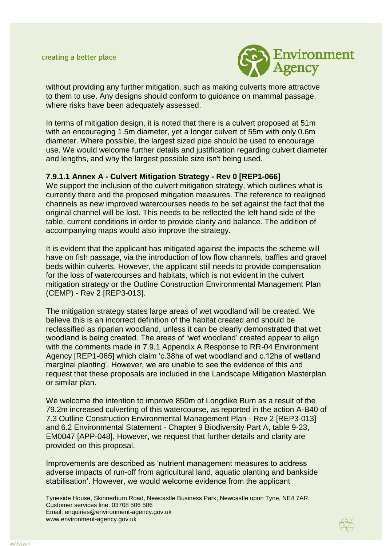

without providing any further mitigation, such as making culverts more attractive to them to use. Any designs should conform to guidance on mammal passage, where risks have been adequately assessed.

In terms of mitigation design, it is noted that there is a culvert proposed at 51m with an encouraging 1.5m diameter, yet a longer culvert of 55m with only 0.6m diameter. Where possible, the largest sized pipe should be used to encourage use. We would welcome further details and justification regarding culvert diameter and lengths, and why the largest possible size isn't being used.

### **7.9.1.1 Annex A - Culvert Mitigation Strategy - Rev 0 [REP1-066]**

We support the inclusion of the culvert mitigation strategy, which outlines what is currently there and the proposed mitigation measures. The reference to realigned channels as new improved watercourses needs to be set against the fact that the original channel will be lost. This needs to be reflected the left hand side of the table, current conditions in order to provide clarity and balance. The addition of accompanying maps would also improve the strategy.

It is evident that the applicant has mitigated against the impacts the scheme will have on fish passage, via the introduction of low flow channels, baffles and gravel beds within culverts. However, the applicant still needs to provide compensation for the loss of watercourses and habitats, which is not evident in the culvert mitigation strategy or the Outline Construction Environmental Management Plan (CEMP) - Rev 2 [REP3-013].

The mitigation strategy states large areas of wet woodland will be created. We believe this is an incorrect definition of the habitat created and should be reclassified as riparian woodland, unless it can be clearly demonstrated that wet woodland is being created. The areas of 'wet woodland' created appear to align with the comments made in 7.9.1 Appendix A Response to RR-04 Environment Agency [REP1-065] which claim 'c.38ha of wet woodland and c.12ha of wetland marginal planting'. However, we are unable to see the evidence of this and request that these proposals are included in the Landscape Mitigation Masterplan or similar plan.

We welcome the intention to improve 850m of Longdike Burn as a result of the 79.2m increased culverting of this watercourse, as reported in the action A-B40 of 7.3 Outline Construction Environmental Management Plan - Rev 2 [REP3-013] and 6.2 Environmental Statement - Chapter 9 Biodiversity Part A, table 9-23, EM0047 [APP-048]. However, we request that further details and clarity are provided on this proposal.

Improvements are described as 'nutrient management measures to address adverse impacts of run-off from agricultural land, aquatic planting and bankside stabilisation'. However, we would welcome evidence from the applicant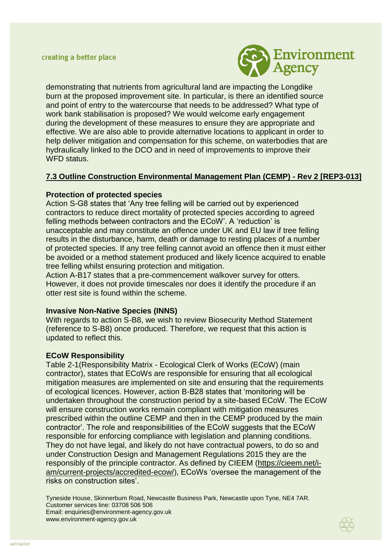

demonstrating that nutrients from agricultural land are impacting the Longdike burn at the proposed improvement site. In particular, is there an identified source and point of entry to the watercourse that needs to be addressed? What type of work bank stabilisation is proposed? We would welcome early engagement during the development of these measures to ensure they are appropriate and effective. We are also able to provide alternative locations to applicant in order to help deliver mitigation and compensation for this scheme, on waterbodies that are hydraulically linked to the DCO and in need of improvements to improve their WFD status.

# **7.3 Outline Construction Environmental Management Plan (CEMP) - Rev 2 [REP3-013]**

### **Protection of protected species**

Action S-G8 states that 'Any tree felling will be carried out by experienced contractors to reduce direct mortality of protected species according to agreed felling methods between contractors and the ECoW'. A 'reduction' is unacceptable and may constitute an offence under UK and EU law if tree felling results in the disturbance, harm, death or damage to resting places of a number of protected species. If any tree felling cannot avoid an offence then it must either be avoided or a method statement produced and likely licence acquired to enable tree felling whilst ensuring protection and mitigation.

Action A-B17 states that a pre-commencement walkover survey for otters. However, it does not provide timescales nor does it identify the procedure if an otter rest site is found within the scheme.

#### **Invasive Non-Native Species (INNS)**

With regards to action S-B8, we wish to review Biosecurity Method Statement (reference to S-B8) once produced. Therefore, we request that this action is updated to reflect this.

#### **ECoW Responsibility**

Table 2-1(Responsibility Matrix - Ecological Clerk of Works (ECoW) (main contractor), states that ECoWs are responsible for ensuring that all ecological mitigation measures are implemented on site and ensuring that the requirements of ecological licences. However, action B-B28 states that 'monitoring will be undertaken throughout the construction period by a site-based ECoW. The ECoW will ensure construction works remain compliant with mitigation measures prescribed within the outline CEMP and then in the CEMP produced by the main contractor'. The role and responsibilities of the ECoW suggests that the ECoW responsible for enforcing compliance with legislation and planning conditions. They do not have legal, and likely do not have contractual powers, to do so and under Construction Design and Management Regulations 2015 they are the responsibly of the principle contractor. As defined by CIEEM [\(https://cieem.net/i](https://cieem.net/i-am/current-projects/accredited-ecow/)[am/current-projects/accredited-ecow/\)](https://cieem.net/i-am/current-projects/accredited-ecow/), ECoWs 'oversee the management of the risks on construction sites'.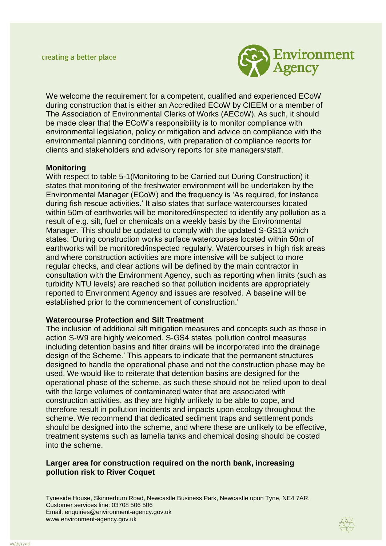

We welcome the requirement for a competent, qualified and experienced ECoW during construction that is either an Accredited ECoW by CIEEM or a member of The Association of Environmental Clerks of Works (AECoW). As such, it should be made clear that the ECoW's responsibility is to monitor compliance with environmental legislation, policy or mitigation and advice on compliance with the environmental planning conditions, with preparation of compliance reports for clients and stakeholders and advisory reports for site managers/staff.

#### **Monitoring**

With respect to table 5-1(Monitoring to be Carried out During Construction) it states that monitoring of the freshwater environment will be undertaken by the Environmental Manager (ECoW) and the frequency is 'As required, for instance during fish rescue activities.' It also states that surface watercourses located within 50m of earthworks will be monitored/inspected to identify any pollution as a result of e.g. silt, fuel or chemicals on a weekly basis by the Environmental Manager. This should be updated to comply with the updated S-GS13 which states: 'During construction works surface watercourses located within 50m of earthworks will be monitored/inspected regularly. Watercourses in high risk areas and where construction activities are more intensive will be subject to more regular checks, and clear actions will be defined by the main contractor in consultation with the Environment Agency, such as reporting when limits (such as turbidity NTU levels) are reached so that pollution incidents are appropriately reported to Environment Agency and issues are resolved. A baseline will be established prior to the commencement of construction.'

#### **Watercourse Protection and Silt Treatment**

The inclusion of additional silt mitigation measures and concepts such as those in action S-W9 are highly welcomed. S-GS4 states 'pollution control measures including detention basins and filter drains will be incorporated into the drainage design of the Scheme.' This appears to indicate that the permanent structures designed to handle the operational phase and not the construction phase may be used. We would like to reiterate that detention basins are designed for the operational phase of the scheme, as such these should not be relied upon to deal with the large volumes of contaminated water that are associated with construction activities, as they are highly unlikely to be able to cope, and therefore result in pollution incidents and impacts upon ecology throughout the scheme. We recommend that dedicated sediment traps and settlement ponds should be designed into the scheme, and where these are unlikely to be effective, treatment systems such as lamella tanks and chemical dosing should be costed into the scheme.

### **Larger area for construction required on the north bank, increasing pollution risk to River Coquet**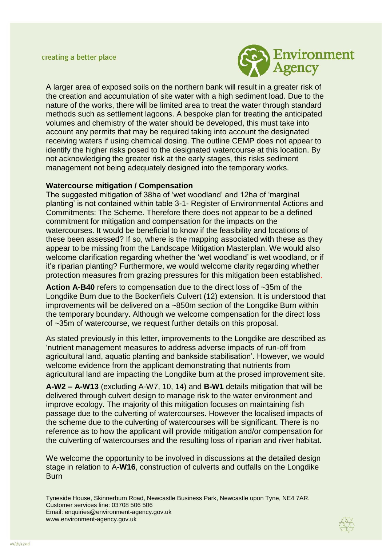

A larger area of exposed soils on the northern bank will result in a greater risk of the creation and accumulation of site water with a high sediment load. Due to the nature of the works, there will be limited area to treat the water through standard methods such as settlement lagoons. A bespoke plan for treating the anticipated volumes and chemistry of the water should be developed, this must take into account any permits that may be required taking into account the designated receiving waters if using chemical dosing. The outline CEMP does not appear to identify the higher risks posed to the designated watercourse at this location. By not acknowledging the greater risk at the early stages, this risks sediment management not being adequately designed into the temporary works.

#### **Watercourse mitigation / Compensation**

The suggested mitigation of 38ha of 'wet woodland' and 12ha of 'marginal planting' is not contained within table 3-1- Register of Environmental Actions and Commitments: The Scheme. Therefore there does not appear to be a defined commitment for mitigation and compensation for the impacts on the watercourses. It would be beneficial to know if the feasibility and locations of these been assessed? If so, where is the mapping associated with these as they appear to be missing from the Landscape Mitigation Masterplan. We would also welcome clarification regarding whether the 'wet woodland' is wet woodland, or if it's riparian planting? Furthermore, we would welcome clarity regarding whether protection measures from grazing pressures for this mitigation been established.

**Action A-B40** refers to compensation due to the direct loss of ~35m of the Longdike Burn due to the Bockenfiels Culvert (12) extension. It is understood that improvements will be delivered on a ~850m section of the Longdike Burn within the temporary boundary. Although we welcome compensation for the direct loss of ~35m of watercourse, we request further details on this proposal.

As stated previously in this letter, improvements to the Longdike are described as 'nutrient management measures to address adverse impacts of run-off from agricultural land, aquatic planting and bankside stabilisation'. However, we would welcome evidence from the applicant demonstrating that nutrients from agricultural land are impacting the Longdike burn at the prosed improvement site.

**A-W2 – A-W13** (excluding A-W7, 10, 14) and **B-W1** details mitigation that will be delivered through culvert design to manage risk to the water environment and improve ecology. The majority of this mitigation focuses on maintaining fish passage due to the culverting of watercourses. However the localised impacts of the scheme due to the culverting of watercourses will be significant. There is no reference as to how the applicant will provide mitigation and/or compensation for the culverting of watercourses and the resulting loss of riparian and river habitat.

We welcome the opportunity to be involved in discussions at the detailed design stage in relation to A**-W16**, construction of culverts and outfalls on the Longdike **Burn** 

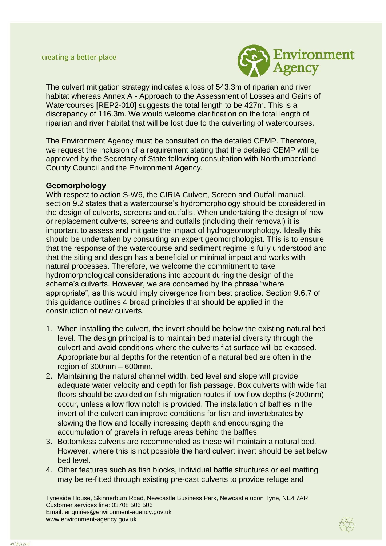

The culvert mitigation strategy indicates a loss of 543.3m of riparian and river habitat whereas Annex A - Approach to the Assessment of Losses and Gains of Watercourses [REP2-010] suggests the total length to be 427m. This is a discrepancy of 116.3m. We would welcome clarification on the total length of riparian and river habitat that will be lost due to the culverting of watercourses.

The Environment Agency must be consulted on the detailed CEMP. Therefore, we request the inclusion of a requirement stating that the detailed CEMP will be approved by the Secretary of State following consultation with Northumberland County Council and the Environment Agency.

### **Geomorphology**

With respect to action S-W6, the CIRIA Culvert, Screen and Outfall manual, section 9.2 states that a watercourse's hydromorphology should be considered in the design of culverts, screens and outfalls. When undertaking the design of new or replacement culverts, screens and outfalls (including their removal) it is important to assess and mitigate the impact of hydrogeomorphology. Ideally this should be undertaken by consulting an expert geomorphologist. This is to ensure that the response of the watercourse and sediment regime is fully understood and that the siting and design has a beneficial or minimal impact and works with natural processes. Therefore, we welcome the commitment to take hydromorphological considerations into account during the design of the scheme's culverts. However, we are concerned by the phrase "where appropriate", as this would imply divergence from best practice. Section 9.6.7 of this guidance outlines 4 broad principles that should be applied in the construction of new culverts.

- 1. When installing the culvert, the invert should be below the existing natural bed level. The design principal is to maintain bed material diversity through the culvert and avoid conditions where the culverts flat surface will be exposed. Appropriate burial depths for the retention of a natural bed are often in the region of 300mm – 600mm.
- 2. Maintaining the natural channel width, bed level and slope will provide adequate water velocity and depth for fish passage. Box culverts with wide flat floors should be avoided on fish migration routes if low flow depths (<200mm) occur, unless a low flow notch is provided. The installation of baffles in the invert of the culvert can improve conditions for fish and invertebrates by slowing the flow and locally increasing depth and encouraging the accumulation of gravels in refuge areas behind the baffles.
- 3. Bottomless culverts are recommended as these will maintain a natural bed. However, where this is not possible the hard culvert invert should be set below bed level.
- 4. Other features such as fish blocks, individual baffle structures or eel matting may be re-fitted through existing pre-cast culverts to provide refuge and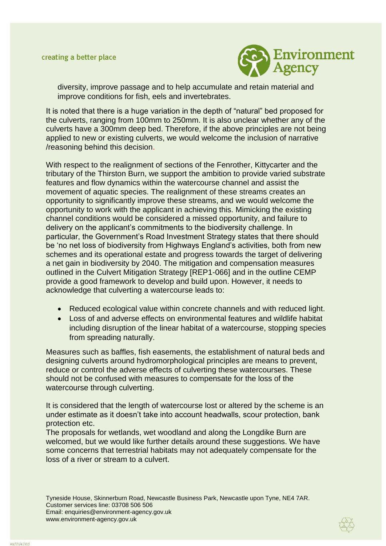

diversity, improve passage and to help accumulate and retain material and improve conditions for fish, eels and invertebrates.

It is noted that there is a huge variation in the depth of "natural" bed proposed for the culverts, ranging from 100mm to 250mm. It is also unclear whether any of the culverts have a 300mm deep bed. Therefore, if the above principles are not being applied to new or existing culverts, we would welcome the inclusion of narrative /reasoning behind this decision.

With respect to the realignment of sections of the Fenrother, Kittycarter and the tributary of the Thirston Burn, we support the ambition to provide varied substrate features and flow dynamics within the watercourse channel and assist the movement of aquatic species. The realignment of these streams creates an opportunity to significantly improve these streams, and we would welcome the opportunity to work with the applicant in achieving this. Mimicking the existing channel conditions would be considered a missed opportunity, and failure to delivery on the applicant's commitments to the biodiversity challenge. In particular, the Government's Road Investment Strategy states that there should be 'no net loss of biodiversity from Highways England's activities, both from new schemes and its operational estate and progress towards the target of delivering a net gain in biodiversity by 2040. The mitigation and compensation measures outlined in the Culvert Mitigation Strategy [REP1-066] and in the outline CEMP provide a good framework to develop and build upon. However, it needs to acknowledge that culverting a watercourse leads to:

- Reduced ecological value within concrete channels and with reduced light.
- Loss of and adverse effects on environmental features and wildlife habitat including disruption of the linear habitat of a watercourse, stopping species from spreading naturally.

Measures such as baffles, fish easements, the establishment of natural beds and designing culverts around hydromorphological principles are means to prevent, reduce or control the adverse effects of culverting these watercourses. These should not be confused with measures to compensate for the loss of the watercourse through culverting.

It is considered that the length of watercourse lost or altered by the scheme is an under estimate as it doesn't take into account headwalls, scour protection, bank protection etc.

The proposals for wetlands, wet woodland and along the Longdike Burn are welcomed, but we would like further details around these suggestions. We have some concerns that terrestrial habitats may not adequately compensate for the loss of a river or stream to a culvert.

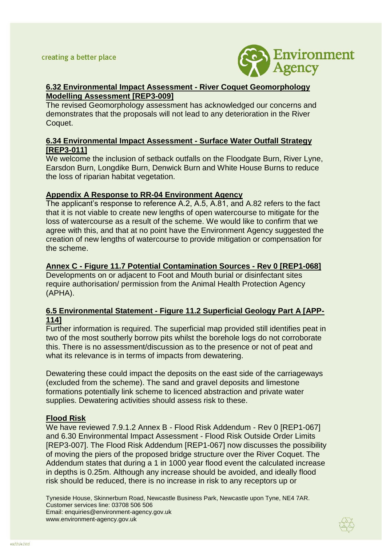

# **[6.32 Environmental Impact Assessment -](https://infrastructure.planninginspectorate.gov.uk/wp-content/ipc/uploads/projects/TR010059/TR010059-001295-David%20Morrow%20on%20behalf%20of%20the%20Applicant%20-%20Other-%20Environmental%20Impact%20Assessment%20(EIA)%20Information%204.pdf) River Coquet Geomorphology [Modelling Assessment](https://infrastructure.planninginspectorate.gov.uk/wp-content/ipc/uploads/projects/TR010059/TR010059-001295-David%20Morrow%20on%20behalf%20of%20the%20Applicant%20-%20Other-%20Environmental%20Impact%20Assessment%20(EIA)%20Information%204.pdf) [REP3-009]**

The revised Geomorphology assessment has acknowledged our concerns and demonstrates that the proposals will not lead to any deterioration in the River Coquet.

## **6.34 Environmental Impact Assessment - Surface Water Outfall Strategy [REP3-011]**

We welcome the inclusion of setback outfalls on the Floodgate Burn, River Lyne, Earsdon Burn, Longdike Burn, Denwick Burn and White House Burns to reduce the loss of riparian habitat vegetation.

## **Appendix A Response to RR-04 Environment Agency**

The applicant's response to reference A.2, A.5, A.81, and A.82 refers to the fact that it is not viable to create new lengths of open watercourse to mitigate for the loss of watercourse as a result of the scheme. We would like to confirm that we agree with this, and that at no point have the Environment Agency suggested the creation of new lengths of watercourse to provide mitigation or compensation for the scheme.

# **Annex C - Figure 11.7 Potential Contamination Sources - Rev 0 [REP1-068]**

Developments on or adjacent to Foot and Mouth burial or disinfectant sites require authorisation/ permission from the Animal Health Protection Agency (APHA).

## **6.5 Environmental Statement - Figure 11.2 Superficial Geology Part A [APP-114]**

Further information is required. The superficial map provided still identifies peat in two of the most southerly borrow pits whilst the borehole logs do not corroborate this. There is no assessment/discussion as to the presence or not of peat and what its relevance is in terms of impacts from dewatering.

Dewatering these could impact the deposits on the east side of the carriageways (excluded from the scheme). The sand and gravel deposits and limestone formations potentially link scheme to licenced abstraction and private water supplies. Dewatering activities should assess risk to these.

## **Flood Risk**

We have reviewed 7.9.1.2 Annex B - Flood Risk Addendum - Rev 0 [REP1-067] and 6.30 Environmental Impact Assessment - Flood Risk Outside Order Limits [REP3-007]. The Flood Risk Addendum [REP1-067] now discusses the possibility of moving the piers of the proposed bridge structure over the River Coquet. The Addendum states that during a 1 in 1000 year flood event the calculated increase in depths is 0.25m. Although any increase should be avoided, and ideally flood risk should be reduced, there is no increase in risk to any receptors up or